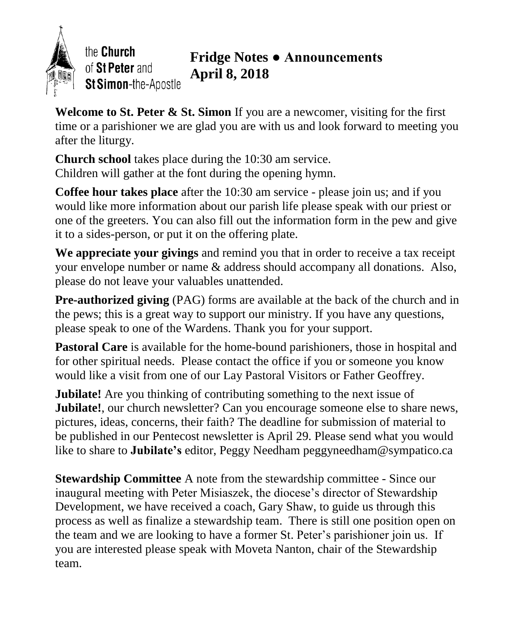

the Church of St Peter and St Simon-the-Apostle

## **Fridge Notes ● Announcements April 8, 2018**

**Welcome to St. Peter & St. Simon** If you are a newcomer, visiting for the first time or a parishioner we are glad you are with us and look forward to meeting you after the liturgy.

**Church school** takes place during the 10:30 am service. Children will gather at the font during the opening hymn.

**Coffee hour takes place** after the 10:30 am service - please join us; and if you would like more information about our parish life please speak with our priest or one of the greeters. You can also fill out the information form in the pew and give it to a sides-person, or put it on the offering plate.

**We appreciate your givings** and remind you that in order to receive a tax receipt your envelope number or name & address should accompany all donations. Also, please do not leave your valuables unattended.

**Pre-authorized giving** (PAG) forms are available at the back of the church and in the pews; this is a great way to support our ministry. If you have any questions, please speak to one of the Wardens. Thank you for your support.

**Pastoral Care** is available for the home-bound parishioners, those in hospital and for other spiritual needs. Please contact the office if you or someone you know would like a visit from one of our Lay Pastoral Visitors or Father Geoffrey.

**Jubilate!** Are you thinking of contributing something to the next issue of **Jubilate!**, our church newsletter? Can you encourage someone else to share news, pictures, ideas, concerns, their faith? The deadline for submission of material to be published in our Pentecost newsletter is April 29. Please send what you would like to share to **Jubilate's** editor, Peggy Needham peggyneedham@sympatico.ca

**Stewardship Committee** A note from the stewardship committee - Since our inaugural meeting with Peter Misiaszek, the diocese's director of Stewardship Development, we have received a coach, Gary Shaw, to guide us through this process as well as finalize a stewardship team. There is still one position open on the team and we are looking to have a former St. Peter's parishioner join us. If you are interested please speak with Moveta Nanton, chair of the Stewardship team.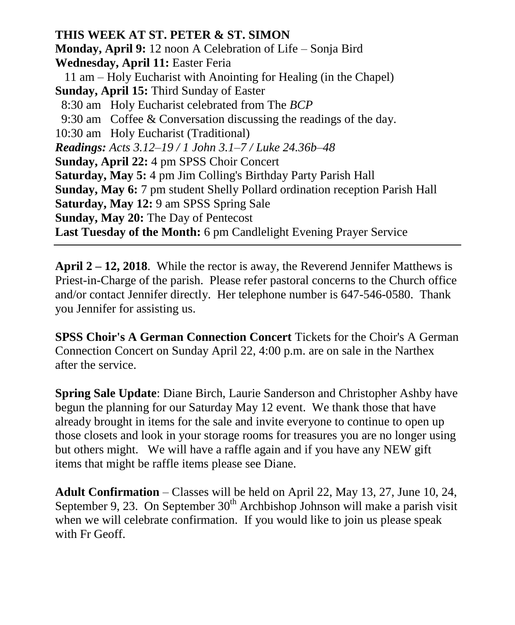**THIS WEEK AT ST. PETER & ST. SIMON Monday, April 9:** 12 noon A Celebration of Life – Sonja Bird **Wednesday, April 11:** Easter Feria 11 am – Holy Eucharist with Anointing for Healing (in the Chapel) **Sunday, April 15:** Third Sunday of Easter 8:30 am Holy Eucharist celebrated from The *BCP* 9:30 am Coffee & Conversation discussing the readings of the day. 10:30 am Holy Eucharist (Traditional) *Readings: Acts 3.12–19 / 1 John 3.1–7 / Luke 24.36b–48* **Sunday, April 22:** 4 pm SPSS Choir Concert **Saturday, May 5:** 4 pm Jim Colling's Birthday Party Parish Hall **Sunday, May 6:** 7 pm student Shelly Pollard ordination reception Parish Hall **Saturday, May 12:** 9 am SPSS Spring Sale **Sunday, May 20:** The Day of Pentecost **Last Tuesday of the Month:** 6 pm Candlelight Evening Prayer Service

**April 2 – 12, 2018**. While the rector is away, the Reverend Jennifer Matthews is Priest-in-Charge of the parish. Please refer pastoral concerns to the Church office and/or contact Jennifer directly. Her telephone number is 647-546-0580. Thank you Jennifer for assisting us.

**SPSS Choir's A German Connection Concert** Tickets for the Choir's A German Connection Concert on Sunday April 22, 4:00 p.m. are on sale in the Narthex after the service.

**Spring Sale Update**: Diane Birch, Laurie Sanderson and Christopher Ashby have begun the planning for our Saturday May 12 event. We thank those that have already brought in items for the sale and invite everyone to continue to open up those closets and look in your storage rooms for treasures you are no longer using but others might. We will have a raffle again and if you have any NEW gift items that might be raffle items please see Diane.

**Adult Confirmation** – Classes will be held on April 22, May 13, 27, June 10, 24, September 9, 23. On September  $30<sup>th</sup>$  Archbishop Johnson will make a parish visit when we will celebrate confirmation. If you would like to join us please speak with Fr Geoff.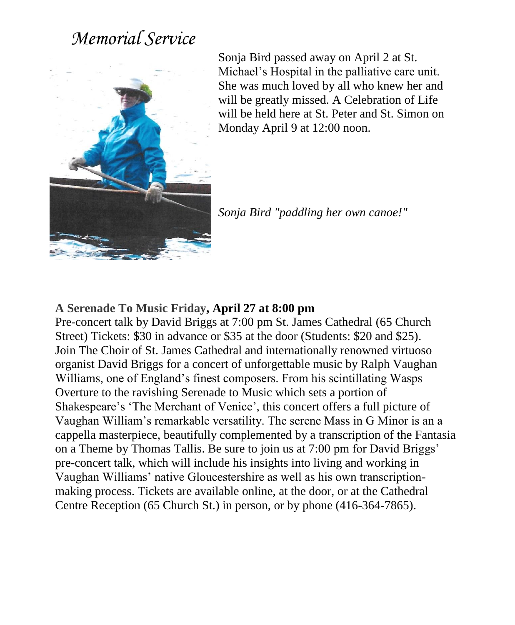## *Memorial Service*



Sonja Bird passed away on April 2 at St. Michael's Hospital in the palliative care unit. She was much loved by all who knew her and will be greatly missed. A Celebration of Life will be held here at St. Peter and St. Simon on Monday April 9 at 12:00 noon.

*Sonja Bird "paddling her own canoe!"*

## **A Serenade To Music Friday, April 27 at 8:00 pm**

Pre-concert talk by David Briggs at 7:00 pm St. James Cathedral (65 Church Street) Tickets: \$30 in advance or \$35 at the door (Students: \$20 and \$25). Join The Choir of St. James Cathedral and internationally renowned virtuoso organist David Briggs for a concert of unforgettable music by Ralph Vaughan Williams, one of England's finest composers. From his scintillating Wasps Overture to the ravishing Serenade to Music which sets a portion of Shakespeare's 'The Merchant of Venice', this concert offers a full picture of Vaughan William's remarkable versatility. The serene Mass in G Minor is an a cappella masterpiece, beautifully complemented by a transcription of the Fantasia on a Theme by Thomas Tallis. Be sure to join us at 7:00 pm for David Briggs' pre-concert talk, which will include his insights into living and working in Vaughan Williams' native Gloucestershire as well as his own transcriptionmaking process. Tickets are available online, at the door, or at the Cathedral Centre Reception (65 Church St.) in person, or by phone (416-364-7865).